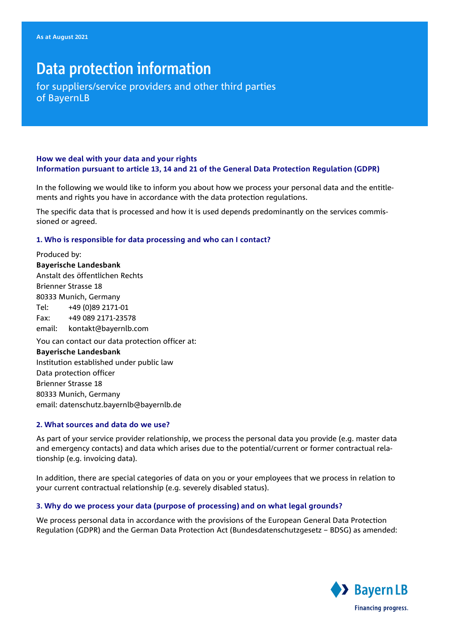# Data protection information

for suppliers/service providers and other third parties of BayernLB

# **How we deal with your data and your rights Information pursuant to article 13, 14 and 21 of the General Data Protection Regulation (GDPR)**

In the following we would like to inform you about how we process your personal data and the entitlements and rights you have in accordance with the data protection regulations.

The specific data that is processed and how it is used depends predominantly on the services commissioned or agreed.

## **1. Who is responsible for data processing and who can I contact?**

Produced by: **Bayerische Landesbank**  Anstalt des öffentlichen Rechts Brienner Strasse 18 80333 Munich, Germany Tel: +49 (0)89 2171-01 Fax: +49 089 2171-23578 email: kontakt@bayernlb.com You can contact our data protection officer at: **Bayerische Landesbank**  Institution established under public law Data protection officer Brienner Strasse 18 80333 Munich, Germany email: datenschutz.bayernlb@bayernlb.de

# **2. What sources and data do we use?**

As part of your service provider relationship, we process the personal data you provide (e.g. master data and emergency contacts) and data which arises due to the potential/current or former contractual relationship (e.g. invoicing data).

In addition, there are special categories of data on you or your employees that we process in relation to your current contractual relationship (e.g. severely disabled status).

# **3. Why do we process your data (purpose of processing) and on what legal grounds?**

We process personal data in accordance with the provisions of the European General Data Protection Regulation (GDPR) and the German Data Protection Act (Bundesdatenschutzgesetz – BDSG) as amended:

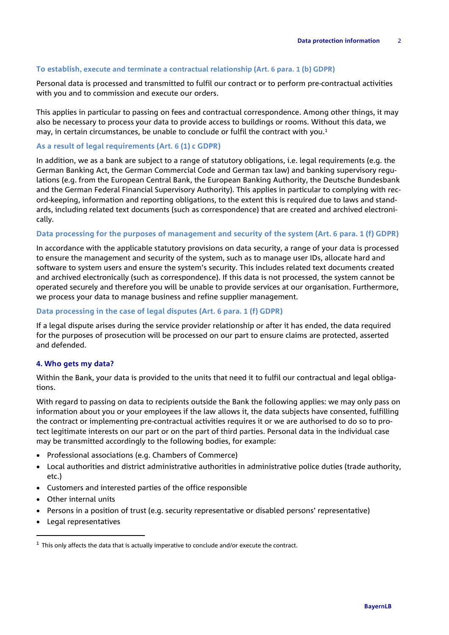## **To establish, execute and terminate a contractual relationship (Art. 6 para. 1 (b) GDPR)**

Personal data is processed and transmitted to fulfil our contract or to perform pre-contractual activities with you and to commission and execute our orders.

This applies in particular to passing on fees and contractual correspondence. Among other things, it may also be necessary to process your data to provide access to buildings or rooms. Without this data, we may, in certain circumstances, be unable to conclude or fulfil the contract with you.<sup>1</sup>

#### **As a result of legal requirements (Art. 6 (1) c GDPR)**

In addition, we as a bank are subject to a range of statutory obligations, i.e. legal requirements (e.g. the German Banking Act, the German Commercial Code and German tax law) and banking supervisory regulations (e.g. from the European Central Bank, the European Banking Authority, the Deutsche Bundesbank and the German Federal Financial Supervisory Authority). This applies in particular to complying with record-keeping, information and reporting obligations, to the extent this is required due to laws and standards, including related text documents (such as correspondence) that are created and archived electronically.

## **Data processing for the purposes of management and security of the system (Art. 6 para. 1 (f) GDPR)**

In accordance with the applicable statutory provisions on data security, a range of your data is processed to ensure the management and security of the system, such as to manage user IDs, allocate hard and software to system users and ensure the system's security. This includes related text documents created and archived electronically (such as correspondence). If this data is not processed, the system cannot be operated securely and therefore you will be unable to provide services at our organisation. Furthermore, we process your data to manage business and refine supplier management.

## **Data processing in the case of legal disputes (Art. 6 para. 1 (f) GDPR)**

If a legal dispute arises during the service provider relationship or after it has ended, the data required for the purposes of prosecution will be processed on our part to ensure claims are protected, asserted and defended.

#### **4. Who gets my data?**

Within the Bank, your data is provided to the units that need it to fulfil our contractual and legal obligations.

With regard to passing on data to recipients outside the Bank the following applies: we may only pass on information about you or your employees if the law allows it, the data subjects have consented, fulfilling the contract or implementing pre-contractual activities requires it or we are authorised to do so to protect legitimate interests on our part or on the part of third parties. Personal data in the individual case may be transmitted accordingly to the following bodies, for example:

- Professional associations (e.g. Chambers of Commerce)
- Local authorities and district administrative authorities in administrative police duties (trade authority, etc.)
- Customers and interested parties of the office responsible
- Other internal units
- Persons in a position of trust (e.g. security representative or disabled persons' representative)
- Legal representatives

I

 $1$  This only affects the data that is actually imperative to conclude and/or execute the contract.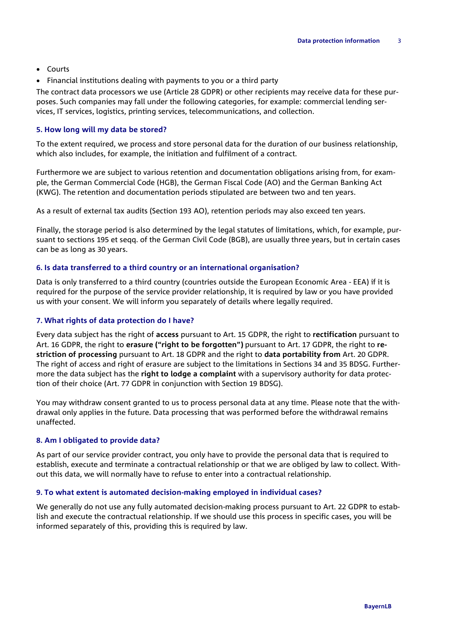- Courts
- Financial institutions dealing with payments to you or a third party

The contract data processors we use (Article 28 GDPR) or other recipients may receive data for these purposes. Such companies may fall under the following categories, for example: commercial lending services, IT services, logistics, printing services, telecommunications, and collection.

## **5. How long will my data be stored?**

To the extent required, we process and store personal data for the duration of our business relationship, which also includes, for example, the initiation and fulfilment of a contract.

Furthermore we are subject to various retention and documentation obligations arising from, for example, the German Commercial Code (HGB), the German Fiscal Code (AO) and the German Banking Act (KWG). The retention and documentation periods stipulated are between two and ten years.

As a result of external tax audits (Section 193 AO), retention periods may also exceed ten years.

Finally, the storage period is also determined by the legal statutes of limitations, which, for example, pursuant to sections 195 et seqq. of the German Civil Code (BGB), are usually three years, but in certain cases can be as long as 30 years.

# **6. Is data transferred to a third country or an international organisation?**

Data is only transferred to a third country (countries outside the European Economic Area - EEA) if it is required for the purpose of the service provider relationship, it is required by law or you have provided us with your consent. We will inform you separately of details where legally required.

## **7. What rights of data protection do I have?**

Every data subject has the right of **access** pursuant to Art. 15 GDPR, the right to **rectification** pursuant to Art. 16 GDPR, the right to **erasure ("right to be forgotten")** pursuant to Art. 17 GDPR, the right to **restriction of processing** pursuant to Art. 18 GDPR and the right to **data portability from** Art. 20 GDPR. The right of access and right of erasure are subject to the limitations in Sections 34 and 35 BDSG. Furthermore the data subject has the **right to lodge a complaint** with a supervisory authority for data protection of their choice (Art. 77 GDPR in conjunction with Section 19 BDSG).

You may withdraw consent granted to us to process personal data at any time. Please note that the withdrawal only applies in the future. Data processing that was performed before the withdrawal remains unaffected.

#### **8. Am I obligated to provide data?**

As part of our service provider contract, you only have to provide the personal data that is required to establish, execute and terminate a contractual relationship or that we are obliged by law to collect. Without this data, we will normally have to refuse to enter into a contractual relationship.

#### **9. To what extent is automated decision-making employed in individual cases?**

We generally do not use any fully automated decision-making process pursuant to Art. 22 GDPR to establish and execute the contractual relationship. If we should use this process in specific cases, you will be informed separately of this, providing this is required by law.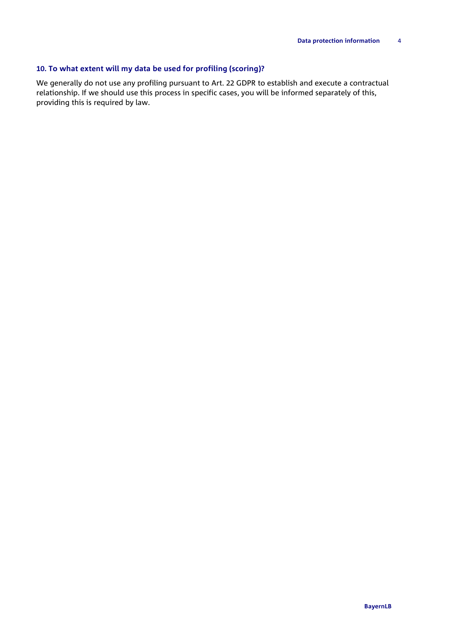# **10. To what extent will my data be used for profiling (scoring)?**

We generally do not use any profiling pursuant to Art. 22 GDPR to establish and execute a contractual relationship. If we should use this process in specific cases, you will be informed separately of this, providing this is required by law.